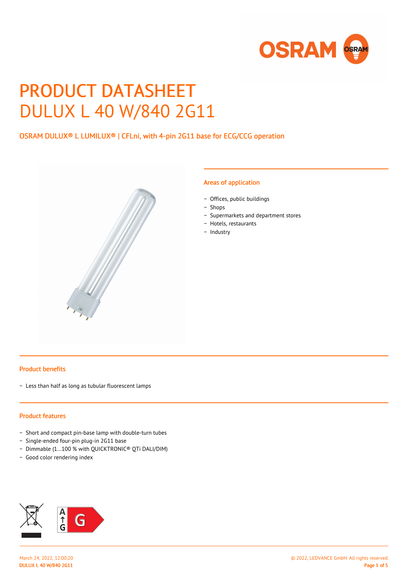

# PRODUCT DATASHEET DULUX L 40 W/840 2G11

## OSRAM DULUX® L LUMILUX® | CFLni, with 4-pin 2G11 base for ECG/CCG operation



#### Areas of application

- − Offices, public buildings
- − Shops
- − Supermarkets and department stores
- − Hotels, restaurants
- − Industry

#### Product benefits

− Less than half as long as tubular fluorescent lamps

#### Product features

- − Short and compact pin-base lamp with double-turn tubes
- − Single-ended four-pin plug-in 2G11 base
- − Dimmable (1…100 % with QUICKTRONIC® QTi DALI/DIM)
- − Good color rendering index

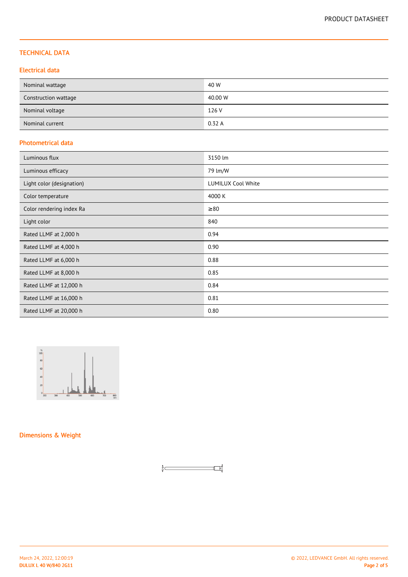#### TECHNICAL DATA

#### Electrical data

| Nominal wattage      | 40 W    |
|----------------------|---------|
| Construction wattage | 40.00 W |
| Nominal voltage      | 126 V   |
| Nominal current      | 0.32A   |

#### Photometrical data

| Luminous flux             | 3150 lm                   |
|---------------------------|---------------------------|
| Luminous efficacy         | 79 lm/W                   |
| Light color (designation) | <b>LUMILUX Cool White</b> |
| Color temperature         | 4000 K                    |
| Color rendering index Ra  | $\geq 80$                 |
| Light color               | 840                       |
| Rated LLMF at 2,000 h     | 0.94                      |
| Rated LLMF at 4,000 h     | 0.90                      |
| Rated LLMF at 6,000 h     | 0.88                      |
| Rated LLMF at 8,000 h     | 0.85                      |
| Rated LLMF at 12,000 h    | 0.84                      |
| Rated LLMF at 16,000 h    | 0.81                      |
| Rated LLMF at 20,000 h    | 0.80                      |



Dimensions & Weight

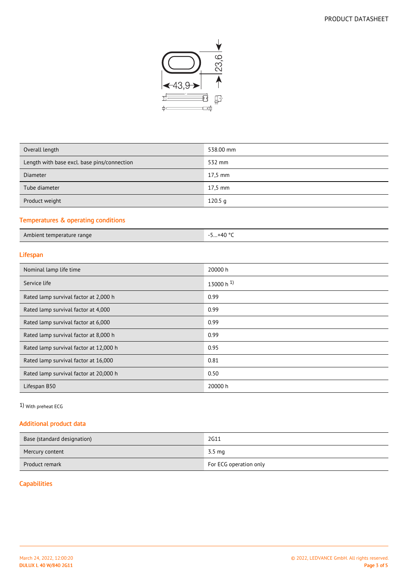

| Overall length                              | 538.00 mm |
|---------------------------------------------|-----------|
| Length with base excl. base pins/connection | 532 mm    |
| <b>Diameter</b>                             | $17.5$ mm |
| Tube diameter                               | $17.5$ mm |
| Product weight                              | 120.5 g   |
|                                             |           |

#### Temperatures & operating conditions

| Ambient temperature range | .+40 °C<br><u></u> |
|---------------------------|--------------------|
|---------------------------|--------------------|

## Lifespan

| Nominal lamp life time                 | 20000 h          |
|----------------------------------------|------------------|
| Service life                           | 13000 h $^{1}$ ) |
| Rated lamp survival factor at 2,000 h  | 0.99             |
| Rated lamp survival factor at 4,000    | 0.99             |
| Rated lamp survival factor at 6,000    | 0.99             |
| Rated lamp survival factor at 8,000 h  | 0.99             |
| Rated lamp survival factor at 12,000 h | 0.95             |
| Rated lamp survival factor at 16,000   | 0.81             |
| Rated lamp survival factor at 20,000 h | 0.50             |
| Lifespan B50                           | 20000 h          |

1) With preheat ECG

#### Additional product data

| Base (standard designation) | 2G11                   |
|-----------------------------|------------------------|
| Mercury content             | 3.5 mg                 |
| Product remark              | For ECG operation only |

## **Capabilities**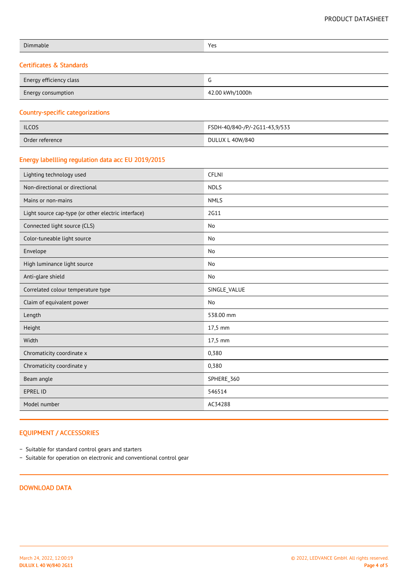| Dimmable                 | Yes |
|--------------------------|-----|
| Certificates & Standards |     |

| Energy efficiency class   | ╰               |
|---------------------------|-----------------|
| <b>Energy consumption</b> | 42.00 kWh/1000h |

#### Country-specific categorizations

| <b>ILCOS</b>    | FSDH-40/840-/P/-2G11-43,9/533 |
|-----------------|-------------------------------|
| Order reference | DULUX L 40W/840               |

#### Energy labellling regulation data acc EU 2019/2015

| Lighting technology used                            | <b>CFLNI</b> |
|-----------------------------------------------------|--------------|
| Non-directional or directional                      | <b>NDLS</b>  |
| Mains or non-mains                                  | <b>NMLS</b>  |
| Light source cap-type (or other electric interface) | 2G11         |
| Connected light source (CLS)                        | No           |
| Color-tuneable light source                         | No           |
| Envelope                                            | No           |
| High luminance light source                         | No           |
| Anti-glare shield                                   | No           |
| Correlated colour temperature type                  | SINGLE_VALUE |
| Claim of equivalent power                           | No           |
| Length                                              | 538.00 mm    |
| Height                                              | 17,5 mm      |
| Width                                               | 17,5 mm      |
| Chromaticity coordinate x                           | 0,380        |
| Chromaticity coordinate y                           | 0,380        |
| Beam angle                                          | SPHERE_360   |
| <b>EPREL ID</b>                                     | 546514       |
| Model number                                        | AC34288      |

#### EQUIPMENT / ACCESSORIES

− Suitable for standard control gears and starters

− Suitable for operation on electronic and conventional control gear

## DOWNLOAD DATA